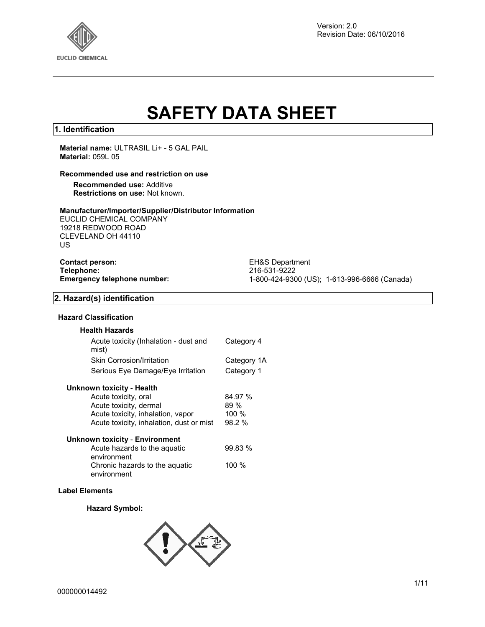

# **SAFETY DATA SHEET**

### **1. Identification**

**Material name:** ULTRASIL Li+ - 5 GAL PAIL **Material:** 059L 05

### **Recommended use and restriction on use**

**Recommended use:** Additive **Restrictions on use:** Not known.

### **Manufacturer/Importer/Supplier/Distributor Information**

EUCLID CHEMICAL COMPANY 19218 REDWOOD ROAD CLEVELAND OH 44110 US

**Contact person:** EH&S Department<br> **Telephone:** 216-531-9222 **Telephone:** 216-531-9222

**Emergency telephone number:** 1-800-424-9300 (US); 1-613-996-6666 (Canada)

### **2. Hazard(s) identification**

### **Hazard Classification**

| <b>Health Hazards</b>                          |             |
|------------------------------------------------|-------------|
| Acute toxicity (Inhalation - dust and<br>mist) | Category 4  |
| <b>Skin Corrosion/Irritation</b>               | Category 1A |
| Serious Eye Damage/Eye Irritation              | Category 1  |

### **Unknown toxicity** - **Health**

| Acute toxicity, oral                     | 84.97 % |
|------------------------------------------|---------|
| Acute toxicity, dermal                   | 89%     |
| Acute toxicity, inhalation, vapor        | 100%    |
| Acute toxicity, inhalation, dust or mist | 98.2 %  |
| <b>Unknown toxicity - Environment</b>    |         |
| Acute hazards to the aquatic             | 99.83 % |
| onvironmont                              |         |

| , loato Hazardo to the agaatio | , vv.vv |
|--------------------------------|---------|
| environment                    |         |
| Chronic hazards to the aquatic | 100 $%$ |
| environment                    |         |

### **Label Elements**

### **Hazard Symbol:**

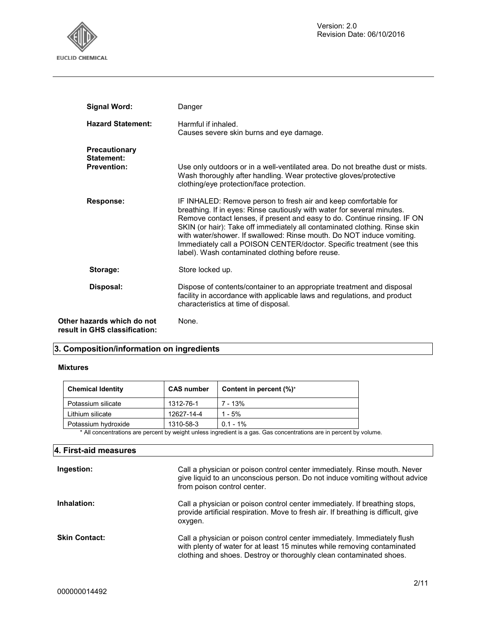

| <b>Signal Word:</b>                                         | Danger                                                                                                                                                                                                                                                                                                                                                                                                                                                                                                      |
|-------------------------------------------------------------|-------------------------------------------------------------------------------------------------------------------------------------------------------------------------------------------------------------------------------------------------------------------------------------------------------------------------------------------------------------------------------------------------------------------------------------------------------------------------------------------------------------|
| <b>Hazard Statement:</b>                                    | Harmful if inhaled.<br>Causes severe skin burns and eye damage.                                                                                                                                                                                                                                                                                                                                                                                                                                             |
| <b>Precautionary</b><br>Statement:                          |                                                                                                                                                                                                                                                                                                                                                                                                                                                                                                             |
| <b>Prevention:</b>                                          | Use only outdoors or in a well-ventilated area. Do not breathe dust or mists.<br>Wash thoroughly after handling. Wear protective gloves/protective<br>clothing/eye protection/face protection.                                                                                                                                                                                                                                                                                                              |
| <b>Response:</b>                                            | IF INHALED: Remove person to fresh air and keep comfortable for<br>breathing. If in eyes: Rinse cautiously with water for several minutes.<br>Remove contact lenses, if present and easy to do. Continue rinsing. IF ON<br>SKIN (or hair): Take off immediately all contaminated clothing. Rinse skin<br>with water/shower. If swallowed: Rinse mouth. Do NOT induce vomiting.<br>Immediately call a POISON CENTER/doctor. Specific treatment (see this<br>label). Wash contaminated clothing before reuse. |
| Storage:                                                    | Store locked up.                                                                                                                                                                                                                                                                                                                                                                                                                                                                                            |
| Disposal:                                                   | Dispose of contents/container to an appropriate treatment and disposal<br>facility in accordance with applicable laws and regulations, and product<br>characteristics at time of disposal.                                                                                                                                                                                                                                                                                                                  |
| Other hazards which do not<br>result in GHS classification: | None.                                                                                                                                                                                                                                                                                                                                                                                                                                                                                                       |

### **3. Composition/information on ingredients**

### **Mixtures**

| <b>Chemical Identity</b> | <b>CAS number</b> | Content in percent (%)* |
|--------------------------|-------------------|-------------------------|
| Potassium silicate       | 1312-76-1         | 7 - 13%                 |
| Lithium silicate         | 12627-14-4        | $1 - 5%$                |
| Potassium hydroxide      | 1310-58-3         | $0.1 - 1\%$             |

\* All concentrations are percent by weight unless ingredient is a gas. Gas concentrations are in percent by volume.

| 4. First-aid measures |                                                                                                                                                                                                                             |
|-----------------------|-----------------------------------------------------------------------------------------------------------------------------------------------------------------------------------------------------------------------------|
| Ingestion:            | Call a physician or poison control center immediately. Rinse mouth. Never<br>give liquid to an unconscious person. Do not induce vomiting without advice<br>from poison control center.                                     |
| Inhalation:           | Call a physician or poison control center immediately. If breathing stops,<br>provide artificial respiration. Move to fresh air. If breathing is difficult, give<br>oxygen.                                                 |
| <b>Skin Contact:</b>  | Call a physician or poison control center immediately. Immediately flush<br>with plenty of water for at least 15 minutes while removing contaminated<br>clothing and shoes. Destroy or thoroughly clean contaminated shoes. |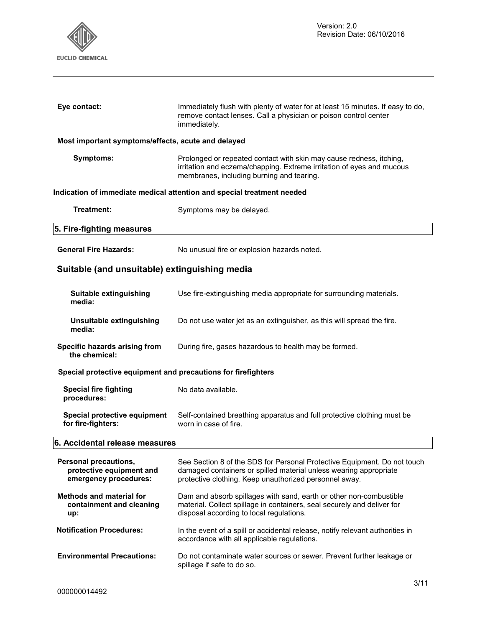

| Eye contact:                                                  | Immediately flush with plenty of water for at least 15 minutes. If easy to do,<br>remove contact lenses. Call a physician or poison control center<br>immediately.                        |  |
|---------------------------------------------------------------|-------------------------------------------------------------------------------------------------------------------------------------------------------------------------------------------|--|
| Most important symptoms/effects, acute and delayed            |                                                                                                                                                                                           |  |
| Symptoms:                                                     | Prolonged or repeated contact with skin may cause redness, itching,<br>irritation and eczema/chapping. Extreme irritation of eyes and mucous<br>membranes, including burning and tearing. |  |
|                                                               | Indication of immediate medical attention and special treatment needed                                                                                                                    |  |
| Treatment:                                                    | Symptoms may be delayed.                                                                                                                                                                  |  |
| 5. Fire-fighting measures                                     |                                                                                                                                                                                           |  |
| <b>General Fire Hazards:</b>                                  | No unusual fire or explosion hazards noted.                                                                                                                                               |  |
| Suitable (and unsuitable) extinguishing media                 |                                                                                                                                                                                           |  |
| Suitable extinguishing<br>media:                              | Use fire-extinguishing media appropriate for surrounding materials.                                                                                                                       |  |
| Unsuitable extinguishing<br>media:                            | Do not use water jet as an extinguisher, as this will spread the fire.                                                                                                                    |  |
| Specific hazards arising from<br>the chemical:                | During fire, gases hazardous to health may be formed.                                                                                                                                     |  |
| Special protective equipment and precautions for firefighters |                                                                                                                                                                                           |  |
| <b>Special fire fighting</b><br>procedures:                   | No data available.                                                                                                                                                                        |  |

**6. Accidental release measures**

**Special protective equipment** 

**for fire-fighters:** 

| <b>Personal precautions,</b>      | See Section 8 of the SDS for Personal Protective Equipment. Do not touch                                                     |
|-----------------------------------|------------------------------------------------------------------------------------------------------------------------------|
| protective equipment and          | damaged containers or spilled material unless wearing appropriate                                                            |
| emergency procedures:             | protective clothing. Keep unauthorized personnel away.                                                                       |
| <b>Methods and material for</b>   | Dam and absorb spillages with sand, earth or other non-combustible                                                           |
| containment and cleaning          | material. Collect spillage in containers, seal securely and deliver for                                                      |
| up:                               | disposal according to local regulations.                                                                                     |
| <b>Notification Procedures:</b>   | In the event of a spill or accidental release, notify relevant authorities in<br>accordance with all applicable regulations. |
| <b>Environmental Precautions:</b> | Do not contaminate water sources or sewer. Prevent further leakage or<br>spillage if safe to do so.                          |

worn in case of fire.

Self-contained breathing apparatus and full protective clothing must be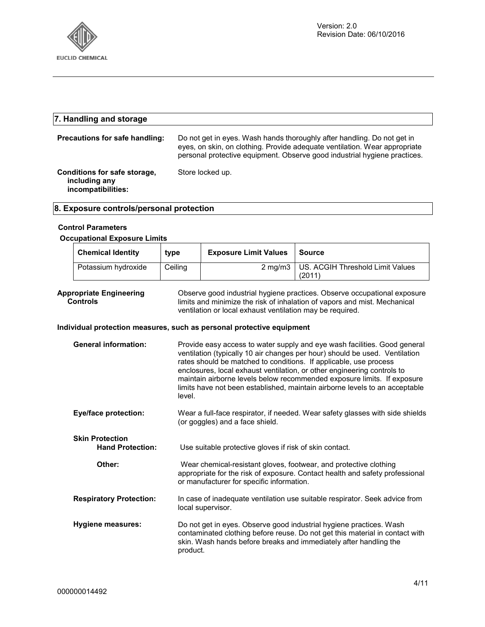

### **7. Handling and storage Precautions for safe handling:** Do not get in eyes. Wash hands thoroughly after handling. Do not get in eyes, on skin, on clothing. Provide adequate ventilation. Wear appropriate personal protective equipment. Observe good industrial hygiene practices. **Conditions for safe storage, including any incompatibilities:**  Store locked up.

### **8. Exposure controls/personal protection**

#### **Control Parameters**

#### **Occupational Exposure Limits**

| <b>Chemical Identity</b> | type    | <b>Exposure Limit Values</b> | Source                                    |
|--------------------------|---------|------------------------------|-------------------------------------------|
| Potassium hydroxide      | Ceiling | $2 \text{ ma/m}$ 3           | US. ACGIH Threshold Limit Values<br>(2011 |

**Appropriate Engineering Controls**  Observe good industrial hygiene practices. Observe occupational exposure limits and minimize the risk of inhalation of vapors and mist. Mechanical ventilation or local exhaust ventilation may be required.

### **Individual protection measures, such as personal protective equipment**

| <b>General information:</b>                       | Provide easy access to water supply and eye wash facilities. Good general<br>ventilation (typically 10 air changes per hour) should be used. Ventilation<br>rates should be matched to conditions. If applicable, use process<br>enclosures, local exhaust ventilation, or other engineering controls to<br>maintain airborne levels below recommended exposure limits. If exposure<br>limits have not been established, maintain airborne levels to an acceptable<br>level. |
|---------------------------------------------------|------------------------------------------------------------------------------------------------------------------------------------------------------------------------------------------------------------------------------------------------------------------------------------------------------------------------------------------------------------------------------------------------------------------------------------------------------------------------------|
| <b>Eye/face protection:</b>                       | Wear a full-face respirator, if needed. Wear safety glasses with side shields<br>(or goggles) and a face shield.                                                                                                                                                                                                                                                                                                                                                             |
| <b>Skin Protection</b><br><b>Hand Protection:</b> | Use suitable protective gloves if risk of skin contact.                                                                                                                                                                                                                                                                                                                                                                                                                      |
| Other:                                            | Wear chemical-resistant gloves, footwear, and protective clothing<br>appropriate for the risk of exposure. Contact health and safety professional<br>or manufacturer for specific information.                                                                                                                                                                                                                                                                               |
| <b>Respiratory Protection:</b>                    | In case of inadequate ventilation use suitable respirator. Seek advice from<br>local supervisor.                                                                                                                                                                                                                                                                                                                                                                             |
| Hygiene measures:                                 | Do not get in eyes. Observe good industrial hygiene practices. Wash<br>contaminated clothing before reuse. Do not get this material in contact with<br>skin. Wash hands before breaks and immediately after handling the<br>product.                                                                                                                                                                                                                                         |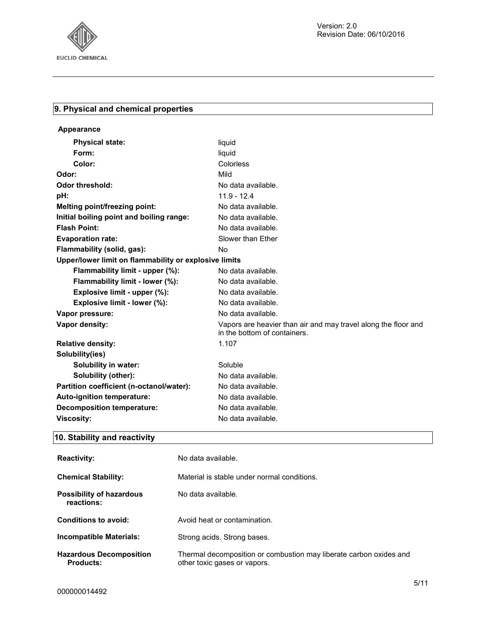

### **9. Physical and chemical properties**

| Appearance                                            |                                                                                                |
|-------------------------------------------------------|------------------------------------------------------------------------------------------------|
| <b>Physical state:</b>                                | liquid                                                                                         |
| Form:                                                 | liquid                                                                                         |
| Color:                                                | Colorless                                                                                      |
| Odor:                                                 | Mild                                                                                           |
| <b>Odor threshold:</b>                                | No data available.                                                                             |
| pH:                                                   | $11.9 - 12.4$                                                                                  |
| Melting point/freezing point:                         | No data available.                                                                             |
| Initial boiling point and boiling range:              | No data available.                                                                             |
| <b>Flash Point:</b>                                   | No data available.                                                                             |
| <b>Evaporation rate:</b>                              | Slower than Ether                                                                              |
| Flammability (solid, gas):                            | <b>No</b>                                                                                      |
| Upper/lower limit on flammability or explosive limits |                                                                                                |
| Flammability limit - upper (%):                       | No data available.                                                                             |
| Flammability limit - lower (%):                       | No data available.                                                                             |
| Explosive limit - upper (%):                          | No data available.                                                                             |
| Explosive limit - lower (%):                          | No data available.                                                                             |
| Vapor pressure:                                       | No data available.                                                                             |
| Vapor density:                                        | Vapors are heavier than air and may travel along the floor and<br>in the bottom of containers. |
| <b>Relative density:</b>                              | 1.107                                                                                          |
| Solubility(ies)                                       |                                                                                                |
| Solubility in water:                                  | Soluble                                                                                        |
| Solubility (other):                                   | No data available.                                                                             |
| Partition coefficient (n-octanol/water):              | No data available.                                                                             |
| Auto-ignition temperature:                            | No data available.                                                                             |
| <b>Decomposition temperature:</b>                     | No data available.                                                                             |
| <b>Viscosity:</b>                                     | No data available.                                                                             |

## **10. Stability and reactivity**

| <b>Reactivity:</b>                            | No data available.                                                                                 |
|-----------------------------------------------|----------------------------------------------------------------------------------------------------|
| <b>Chemical Stability:</b>                    | Material is stable under normal conditions.                                                        |
| <b>Possibility of hazardous</b><br>reactions: | No data available.                                                                                 |
| Conditions to avoid:                          | Avoid heat or contamination.                                                                       |
| <b>Incompatible Materials:</b>                | Strong acids. Strong bases.                                                                        |
| <b>Hazardous Decomposition</b><br>Products:   | Thermal decomposition or combustion may liberate carbon oxides and<br>other toxic gases or vapors. |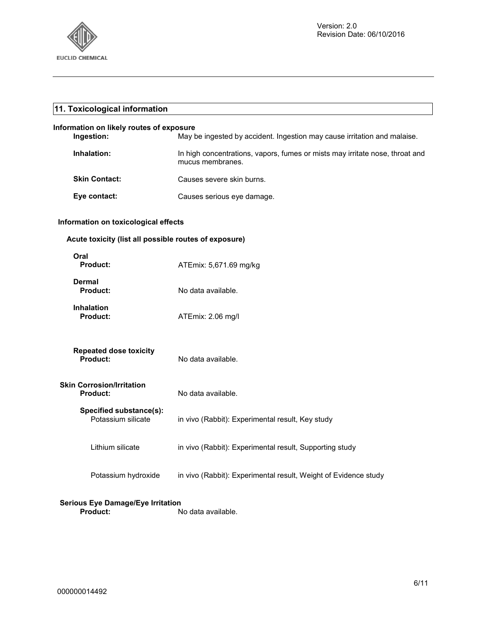

| 11. Toxicological information                         |                                                                                                  |  |
|-------------------------------------------------------|--------------------------------------------------------------------------------------------------|--|
| Information on likely routes of exposure              |                                                                                                  |  |
| Ingestion:                                            | May be ingested by accident. Ingestion may cause irritation and malaise.                         |  |
| Inhalation:                                           | In high concentrations, vapors, fumes or mists may irritate nose, throat and<br>mucus membranes. |  |
| <b>Skin Contact:</b>                                  | Causes severe skin burns.                                                                        |  |
| Eye contact:                                          | Causes serious eye damage.                                                                       |  |
| Information on toxicological effects                  |                                                                                                  |  |
| Acute toxicity (list all possible routes of exposure) |                                                                                                  |  |
| Oral<br><b>Product:</b>                               | ATEmix: 5,671.69 mg/kg                                                                           |  |
| Dermal<br><b>Product:</b>                             | No data available.                                                                               |  |
| <b>Inhalation</b><br><b>Product:</b>                  | ATEmix: 2.06 mg/l                                                                                |  |
| <b>Repeated dose toxicity</b><br><b>Product:</b>      | No data available.                                                                               |  |
| <b>Skin Corrosion/Irritation</b><br><b>Product:</b>   | No data available.                                                                               |  |
| Specified substance(s):<br>Potassium silicate         | in vivo (Rabbit): Experimental result, Key study                                                 |  |
| Lithium silicate                                      | in vivo (Rabbit): Experimental result, Supporting study                                          |  |
| Potassium hydroxide                                   | in vivo (Rabbit): Experimental result, Weight of Evidence study                                  |  |
| Osalaria, Eria, Danisana (Eria, India 41a             |                                                                                                  |  |

**Serious Eye Damage/Eye Irritation Product:** No data available.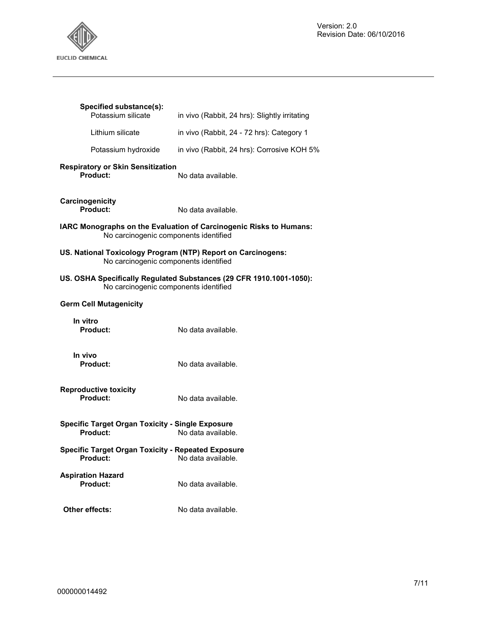

| Specified substance(s):<br>Potassium silicate                                                         | in vivo (Rabbit, 24 hrs): Slightly irritating                       |
|-------------------------------------------------------------------------------------------------------|---------------------------------------------------------------------|
| Lithium silicate                                                                                      | in vivo (Rabbit, 24 - 72 hrs): Category 1                           |
| Potassium hydroxide                                                                                   | in vivo (Rabbit, 24 hrs): Corrosive KOH 5%                          |
| <b>Respiratory or Skin Sensitization</b><br>Product:                                                  | No data available.                                                  |
| Carcinogenicity<br><b>Product:</b>                                                                    | No data available.                                                  |
| No carcinogenic components identified                                                                 | IARC Monographs on the Evaluation of Carcinogenic Risks to Humans:  |
| US. National Toxicology Program (NTP) Report on Carcinogens:<br>No carcinogenic components identified |                                                                     |
| No carcinogenic components identified                                                                 | US. OSHA Specifically Regulated Substances (29 CFR 1910.1001-1050): |
| <b>Germ Cell Mutagenicity</b>                                                                         |                                                                     |
| In vitro<br><b>Product:</b>                                                                           | No data available.                                                  |
| In vivo<br>Product:                                                                                   | No data available.                                                  |
| <b>Reproductive toxicity</b><br>Product:                                                              | No data available.                                                  |
| <b>Specific Target Organ Toxicity - Single Exposure</b><br>No data available.<br>Product:             |                                                                     |
| <b>Specific Target Organ Toxicity - Repeated Exposure</b><br>Product:<br>No data available.           |                                                                     |
| <b>Aspiration Hazard</b><br><b>Product:</b>                                                           | No data available.                                                  |
| Other effects:                                                                                        | No data available.                                                  |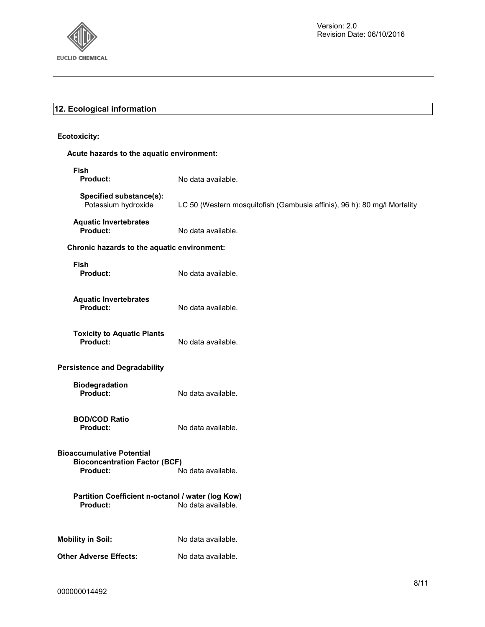

### **12. Ecological information**

### **Ecotoxicity:**

### **Acute hazards to the aquatic environment:**

| Fish<br><b>Product:</b>                                                              | No data available.                                                       |
|--------------------------------------------------------------------------------------|--------------------------------------------------------------------------|
| Specified substance(s):<br>Potassium hydroxide                                       | LC 50 (Western mosquitofish (Gambusia affinis), 96 h): 80 mg/l Mortality |
| <b>Aquatic Invertebrates</b><br>Product:                                             | No data available.                                                       |
| Chronic hazards to the aquatic environment:                                          |                                                                          |
| Fish<br><b>Product:</b>                                                              | No data available.                                                       |
| <b>Aquatic Invertebrates</b><br>Product:                                             | No data available.                                                       |
| <b>Toxicity to Aquatic Plants</b><br>Product:                                        | No data available.                                                       |
| <b>Persistence and Degradability</b>                                                 |                                                                          |
| <b>Biodegradation</b><br>Product:                                                    | No data available.                                                       |
| <b>BOD/COD Ratio</b><br>Product:                                                     | No data available.                                                       |
| <b>Bioaccumulative Potential</b><br><b>Bioconcentration Factor (BCF)</b><br>Product: | No data available.                                                       |
| Partition Coefficient n-octanol / water (log Kow)<br>Product:                        | No data available.                                                       |
| <b>Mobility in Soil:</b>                                                             | No data available.                                                       |
| Other Adverse Effects:                                                               | No data available.                                                       |
|                                                                                      |                                                                          |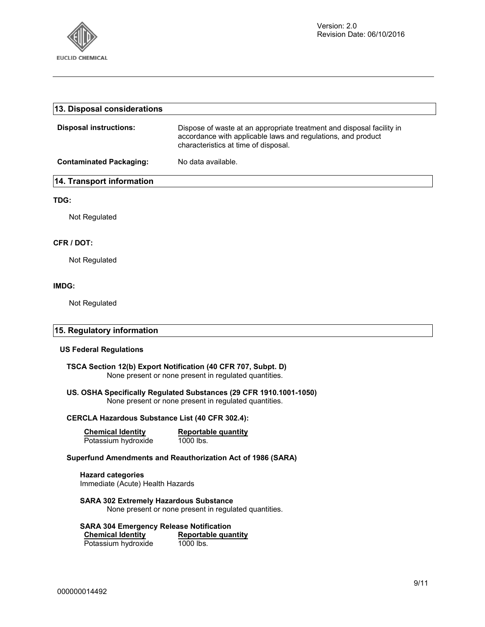

| 13. Disposal considerations    |                                                                                                                                                                               |
|--------------------------------|-------------------------------------------------------------------------------------------------------------------------------------------------------------------------------|
| <b>Disposal instructions:</b>  | Dispose of waste at an appropriate treatment and disposal facility in<br>accordance with applicable laws and regulations, and product<br>characteristics at time of disposal. |
| <b>Contaminated Packaging:</b> | No data available.                                                                                                                                                            |
| 14. Transport information      |                                                                                                                                                                               |
| TDG:                           |                                                                                                                                                                               |
| Not Regulated                  |                                                                                                                                                                               |
| CFR / DOT:                     |                                                                                                                                                                               |
| Not Regulated                  |                                                                                                                                                                               |
| IMDG:                          |                                                                                                                                                                               |
| Not Regulated                  |                                                                                                                                                                               |
| 15. Regulatory information     |                                                                                                                                                                               |

### **US Federal Regulations**

### **TSCA Section 12(b) Export Notification (40 CFR 707, Subpt. D)**  None present or none present in regulated quantities.

### **US. OSHA Specifically Regulated Substances (29 CFR 1910.1001-1050)**  None present or none present in regulated quantities.

### **CERCLA Hazardous Substance List (40 CFR 302.4):**

| <b>Chemical Identity</b> | Reportable quantity |
|--------------------------|---------------------|
| Potassium hydroxide      | 1000 lbs.           |

### **Superfund Amendments and Reauthorization Act of 1986 (SARA)**

**Hazard categories**  Immediate (Acute) Health Hazards

**SARA 302 Extremely Hazardous Substance**  None present or none present in regulated quantities.

### **SARA 304 Emergency Release Notification**

**Chemical Identity Reportable quantity**<br> **Potassium hydroxide** 1000 lbs. Potassium hydroxide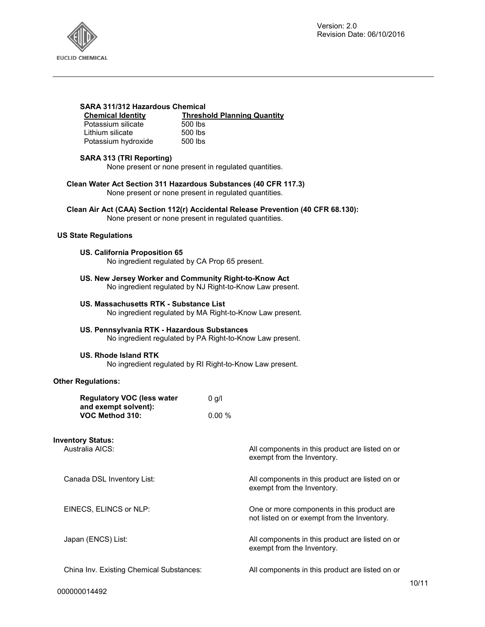

### **SARA 311/312 Hazardous Chemical**

**Chemical Identity**<br> **Potassium silicate**<br> **Channel SOO Ibs**<br> **Channel SOO Ibs** Potassium silicate 500 lbs<br>
l ithium silicate 500 lbs Lithium silicate 500 lbs<br>Potassium hydroxide 500 lbs

### **SARA 313 (TRI Reporting)**

Potassium hydroxide

None present or none present in regulated quantities.

**Clean Water Act Section 311 Hazardous Substances (40 CFR 117.3)**  None present or none present in regulated quantities.

**Clean Air Act (CAA) Section 112(r) Accidental Release Prevention (40 CFR 68.130):**  None present or none present in regulated quantities.

### **US State Regulations**

#### **US. California Proposition 65**

No ingredient regulated by CA Prop 65 present.

**US. New Jersey Worker and Community Right-to-Know Act**  No ingredient regulated by NJ Right-to-Know Law present.

### **US. Massachusetts RTK - Substance List**

No ingredient regulated by MA Right-to-Know Law present.

### **US. Pennsylvania RTK - Hazardous Substances**

No ingredient regulated by PA Right-to-Know Law present.

#### **US. Rhode Island RTK**

No ingredient regulated by RI Right-to-Know Law present.

exempt from the Inventory.

exempt from the Inventory.

exempt from the Inventory.

not listed on or exempt from the Inventory.

### **Other Regulations:**

| <b>Regulatory VOC (less water</b> | 0 q/l |
|-----------------------------------|-------|
| and exempt solvent):              |       |
| VOC Method 310:                   | 0.00% |

### **Inventory Status:**

Australia AICS: Australia AICS: All components in this product are listed on or

Canada DSL Inventory List: All components in this product are listed on or

EINECS, ELINCS or NLP: CHE CONSERVITY One or more components in this product are

Japan (ENCS) List: All components in this product are listed on or

China Inv. Existing Chemical Substances: All components in this product are listed on or